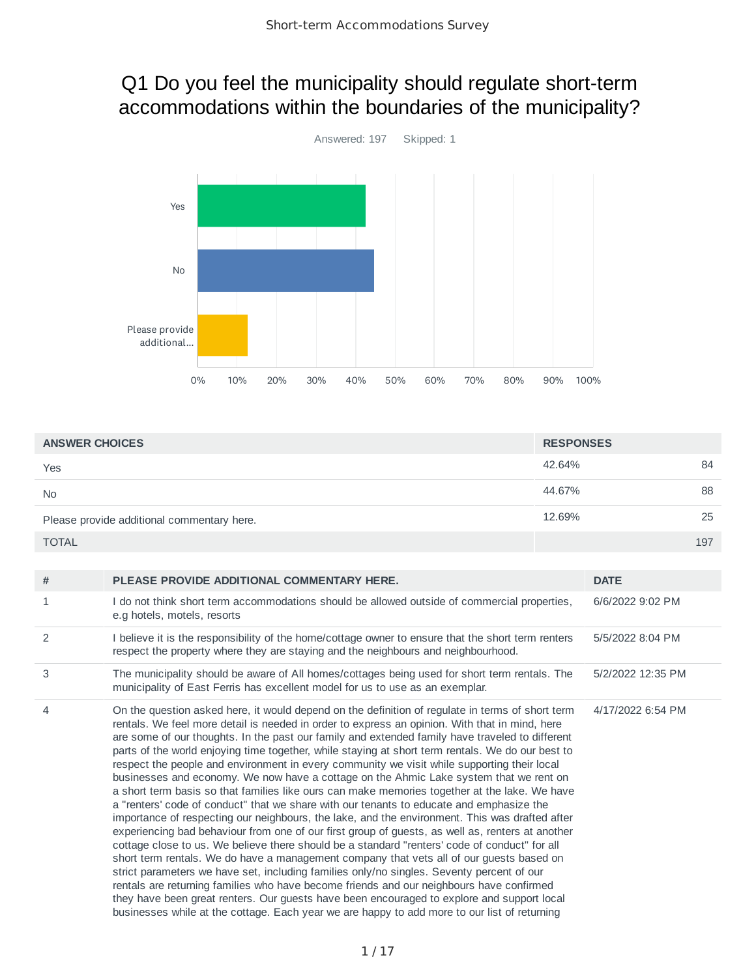# Q1 Do you feel the municipality should regulate short-term accommodations within the boundaries of the municipality?



| <b>ANSWER CHOICES</b>                      | <b>RESPONSES</b> |     |
|--------------------------------------------|------------------|-----|
| Yes                                        | 42.64%           | 84  |
| <b>No</b>                                  | 44.67%           | 88  |
| Please provide additional commentary here. | 12.69%           | 25  |
| <b>TOTAL</b>                               |                  | 197 |

| #              | PLEASE PROVIDE ADDITIONAL COMMENTARY HERE.                                                                                                                                                                                                                                                                                                                                                                                                                                                                                                                                                                                                                                                                                                                                                                                                                                                                                                                                                                                                                                                                                                                                                                                                                                                                                                                                                                                                                                                                                                                                                 | <b>DATE</b>       |
|----------------|--------------------------------------------------------------------------------------------------------------------------------------------------------------------------------------------------------------------------------------------------------------------------------------------------------------------------------------------------------------------------------------------------------------------------------------------------------------------------------------------------------------------------------------------------------------------------------------------------------------------------------------------------------------------------------------------------------------------------------------------------------------------------------------------------------------------------------------------------------------------------------------------------------------------------------------------------------------------------------------------------------------------------------------------------------------------------------------------------------------------------------------------------------------------------------------------------------------------------------------------------------------------------------------------------------------------------------------------------------------------------------------------------------------------------------------------------------------------------------------------------------------------------------------------------------------------------------------------|-------------------|
| $\mathbf{1}$   | I do not think short term accommodations should be allowed outside of commercial properties,<br>e.g hotels, motels, resorts                                                                                                                                                                                                                                                                                                                                                                                                                                                                                                                                                                                                                                                                                                                                                                                                                                                                                                                                                                                                                                                                                                                                                                                                                                                                                                                                                                                                                                                                | 6/6/2022 9:02 PM  |
| 2              | I believe it is the responsibility of the home/cottage owner to ensure that the short term renters<br>respect the property where they are staying and the neighbours and neighbourhood.                                                                                                                                                                                                                                                                                                                                                                                                                                                                                                                                                                                                                                                                                                                                                                                                                                                                                                                                                                                                                                                                                                                                                                                                                                                                                                                                                                                                    | 5/5/2022 8:04 PM  |
| 3              | The municipality should be aware of All homes/cottages being used for short term rentals. The<br>municipality of East Ferris has excellent model for us to use as an exemplar.                                                                                                                                                                                                                                                                                                                                                                                                                                                                                                                                                                                                                                                                                                                                                                                                                                                                                                                                                                                                                                                                                                                                                                                                                                                                                                                                                                                                             | 5/2/2022 12:35 PM |
| $\overline{4}$ | On the question asked here, it would depend on the definition of regulate in terms of short term<br>rentals. We feel more detail is needed in order to express an opinion. With that in mind, here<br>are some of our thoughts. In the past our family and extended family have traveled to different<br>parts of the world enjoying time together, while staying at short term rentals. We do our best to<br>respect the people and environment in every community we visit while supporting their local<br>businesses and economy. We now have a cottage on the Ahmic Lake system that we rent on<br>a short term basis so that families like ours can make memories together at the lake. We have<br>a "renters' code of conduct" that we share with our tenants to educate and emphasize the<br>importance of respecting our neighbours, the lake, and the environment. This was drafted after<br>experiencing bad behaviour from one of our first group of guests, as well as, renters at another<br>cottage close to us. We believe there should be a standard "renters' code of conduct" for all<br>short term rentals. We do have a management company that vets all of our guests based on<br>strict parameters we have set, including families only/no singles. Seventy percent of our<br>rentals are returning families who have become friends and our neighbours have confirmed<br>they have been great renters. Our guests have been encouraged to explore and support local<br>businesses while at the cottage. Each year we are happy to add more to our list of returning | 4/17/2022 6:54 PM |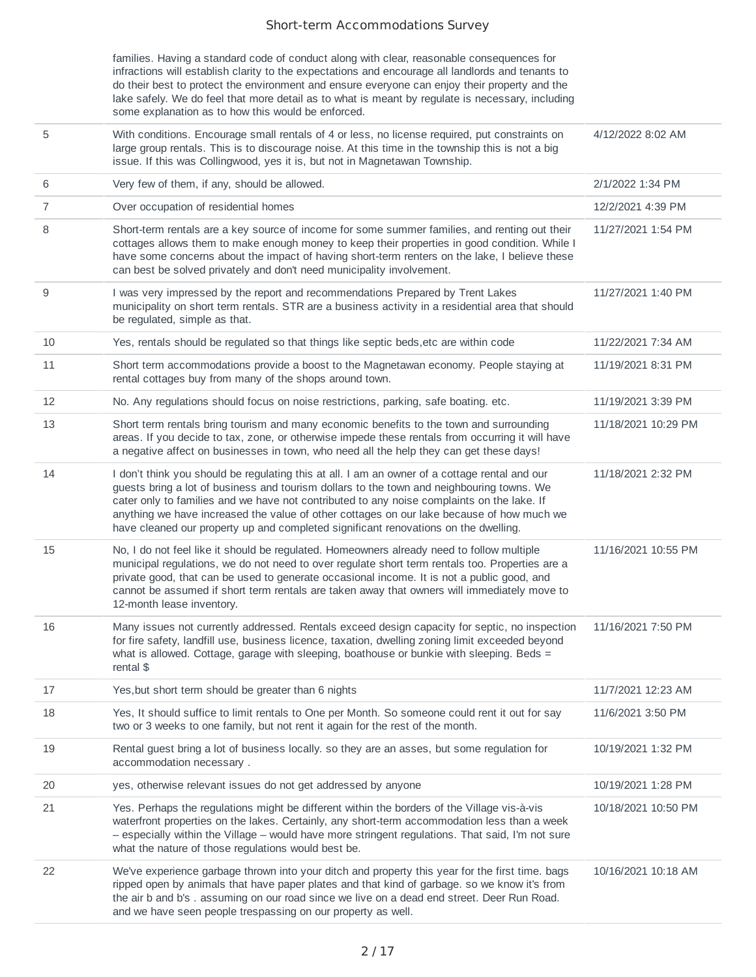families. Having a standard code of conduct along with clear, reasonable consequences for infractions will establish clarity to the expectations and encourage all landlords and tenants to do their best to protect the environment and ensure everyone can enjoy their property and the lake safely. We do feel that more detail as to what is meant by regulate is necessary, including some explanation as to how this would be enforced.

- 5 With conditions. Encourage small rentals of 4 or less, no license required, put constraints on large group rentals. This is to discourage noise. At this time in the township this is not a big issue. If this was Collingwood, yes it is, but not in Magnetawan Township. 4/12/2022 8:02 AM 6 Very few of them, if any, should be allowed. 2/1/2022 1:34 PM 7 Over occupation of residential homes 12/2/2021 4:39 PM 8 Short-term rentals are a key source of income for some summer families, and renting out their cottages allows them to make enough money to keep their properties in good condition. While I 11/27/2021 1:54 PM
- have some concerns about the impact of having short-term renters on the lake, I believe these can best be solved privately and don't need municipality involvement. 9 I was very impressed by the report and recommendations Prepared by Trent Lakes municipality on short term rentals. STR are a business activity in a residential area that should be regulated, simple as that. 11/27/2021 1:40 PM 10 Yes, rentals should be regulated so that things like septic beds,etc are within code 11/22/2021 7:34 AM 11 Short term accommodations provide a boost to the Magnetawan economy. People staying at rental cottages buy from many of the shops around town. 11/19/2021 8:31 PM 12 No. Any regulations should focus on noise restrictions, parking, safe boating. etc. 11/19/2021 3:39 PM 13 Short term rentals bring tourism and many economic benefits to the town and surrounding areas. If you decide to tax, zone, or otherwise impede these rentals from occurring it will have a negative affect on businesses in town, who need all the help they can get these days! 11/18/2021 10:29 PM 14 I don't think you should be regulating this at all. I am an owner of a cottage rental and our guests bring a lot of business and tourism dollars to the town and neighbouring towns. We cater only to families and we have not contributed to any noise complaints on the lake. If anything we have increased the value of other cottages on our lake because of how much we have cleaned our property up and completed significant renovations on the dwelling. 11/18/2021 2:32 PM 15 No, I do not feel like it should be regulated. Homeowners already need to follow multiple municipal regulations, we do not need to over regulate short term rentals too. Properties are a private good, that can be used to generate occasional income. It is not a public good, and cannot be assumed if short term rentals are taken away that owners will immediately move to 12-month lease inventory. 11/16/2021 10:55 PM 16 Many issues not currently addressed. Rentals exceed design capacity for septic, no inspection for fire safety, landfill use, business licence, taxation, dwelling zoning limit exceeded beyond what is allowed. Cottage, garage with sleeping, boathouse or bunkie with sleeping. Beds = rental \$ 11/16/2021 7:50 PM 17 17 Yes, but short term should be greater than 6 nights 11/7/2021 12:23 AM
- 18 Yes, It should suffice to limit rentals to One per Month. So someone could rent it out for say two or 3 weeks to one family, but not rent it again for the rest of the month. 11/6/2021 3:50 PM 19 Rental guest bring a lot of business locally. so they are an asses, but some regulation for accommodation necessary . 10/19/2021 1:32 PM 20 yes, otherwise relevant issues do not get addressed by anyone 10/19/2021 1:28 PM 21 Yes. Perhaps the regulations might be different within the borders of the Village vis-à-vis waterfront properties on the lakes. Certainly, any short-term accommodation less than a week – especially within the Village – would have more stringent regulations. That said, I'm not sure what the nature of those regulations would best be. 10/18/2021 10:50 PM 22 We've experience garbage thrown into your ditch and property this year for the first time. bags ripped open by animals that have paper plates and that kind of garbage. so we know it's from the air b and b's . assuming on our road since we live on a dead end street. Deer Run Road. and we have seen people trespassing on our property as well. 10/16/2021 10:18 AM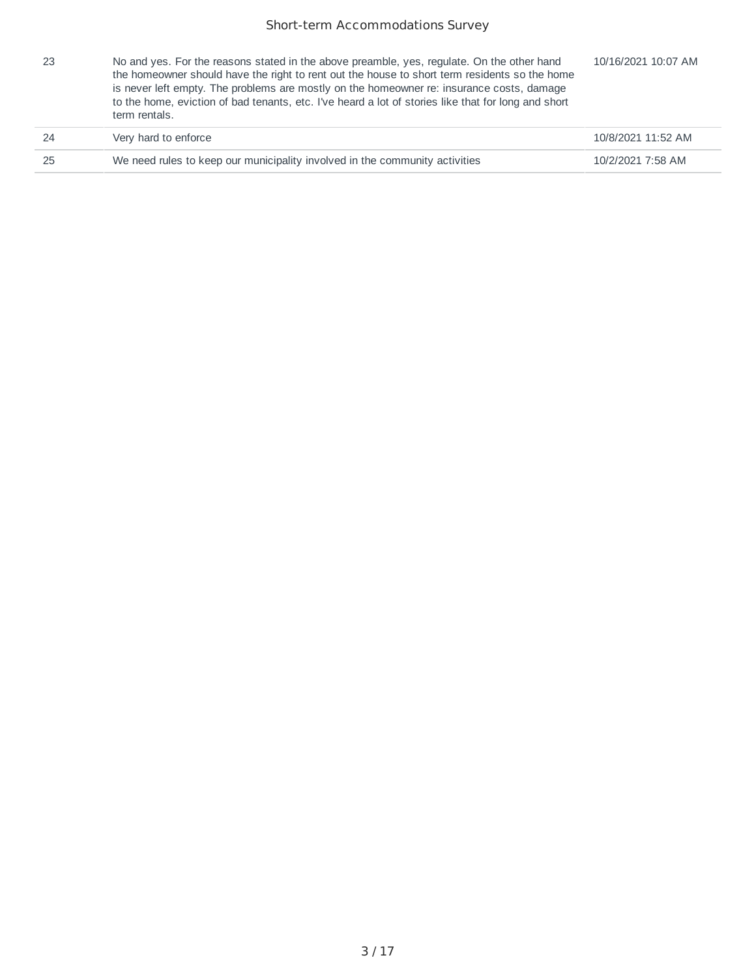| -23 | No and yes. For the reasons stated in the above preamble, yes, regulate. On the other hand<br>the homeowner should have the right to rent out the house to short term residents so the home<br>is never left empty. The problems are mostly on the homeowner re: insurance costs, damage<br>to the home, eviction of bad tenants, etc. I've heard a lot of stories like that for long and short<br>term rentals. | 10/16/2021 10:07 AM |
|-----|------------------------------------------------------------------------------------------------------------------------------------------------------------------------------------------------------------------------------------------------------------------------------------------------------------------------------------------------------------------------------------------------------------------|---------------------|
| 24  | Very hard to enforce                                                                                                                                                                                                                                                                                                                                                                                             | 10/8/2021 11:52 AM  |
| 25  | We need rules to keep our municipality involved in the community activities                                                                                                                                                                                                                                                                                                                                      | 10/2/2021 7:58 AM   |
|     |                                                                                                                                                                                                                                                                                                                                                                                                                  |                     |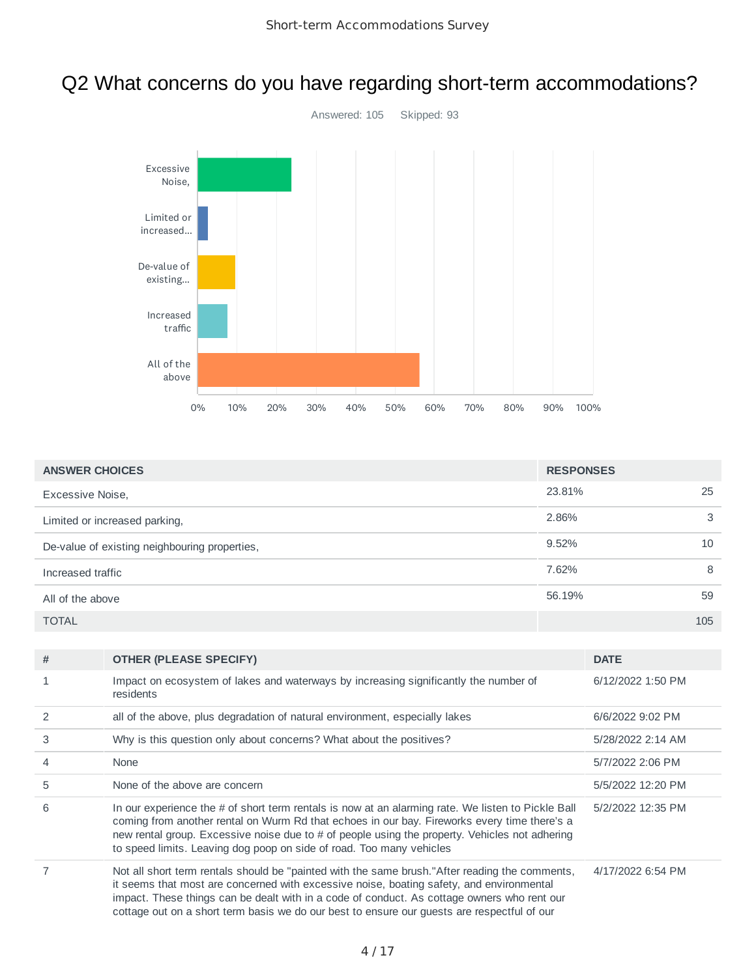### Q2 What concerns do you have regarding short-term accommodations?



| <b>ANSWER CHOICES</b>                         | <b>RESPONSES</b> |     |
|-----------------------------------------------|------------------|-----|
| Excessive Noise.                              | 23.81%           | 25  |
| Limited or increased parking,                 | 2.86%            | 3   |
| De-value of existing neighbouring properties, | 9.52%            | 10  |
| Increased traffic                             | 7.62%            | 8   |
| All of the above                              | 56.19%           | 59  |
| <b>TOTAL</b>                                  |                  | 105 |

| # | <b>OTHER (PLEASE SPECIFY)</b>                                                                                                                                                                                                                                                                                                                                                            | <b>DATE</b>       |
|---|------------------------------------------------------------------------------------------------------------------------------------------------------------------------------------------------------------------------------------------------------------------------------------------------------------------------------------------------------------------------------------------|-------------------|
|   | Impact on ecosystem of lakes and waterways by increasing significantly the number of<br>residents                                                                                                                                                                                                                                                                                        | 6/12/2022 1:50 PM |
|   | all of the above, plus degradation of natural environment, especially lakes                                                                                                                                                                                                                                                                                                              | 6/6/2022 9:02 PM  |
| 3 | Why is this question only about concerns? What about the positives?                                                                                                                                                                                                                                                                                                                      | 5/28/2022 2:14 AM |
| 4 | None                                                                                                                                                                                                                                                                                                                                                                                     | 5/7/2022 2:06 PM  |
| 5 | None of the above are concern                                                                                                                                                                                                                                                                                                                                                            | 5/5/2022 12:20 PM |
| 6 | In our experience the # of short term rentals is now at an alarming rate. We listen to Pickle Ball<br>coming from another rental on Wurm Rd that echoes in our bay. Fireworks every time there's a<br>new rental group. Excessive noise due to $#$ of people using the property. Vehicles not adhering<br>to speed limits. Leaving dog poop on side of road. Too many vehicles           | 5/2/2022 12:35 PM |
|   | Not all short term rentals should be "painted with the same brush."After reading the comments,<br>it seems that most are concerned with excessive noise, boating safety, and environmental<br>impact. These things can be dealt with in a code of conduct. As cottage owners who rent our<br>cottage out on a short term basis we do our best to ensure our guests are respectful of our | 4/17/2022 6:54 PM |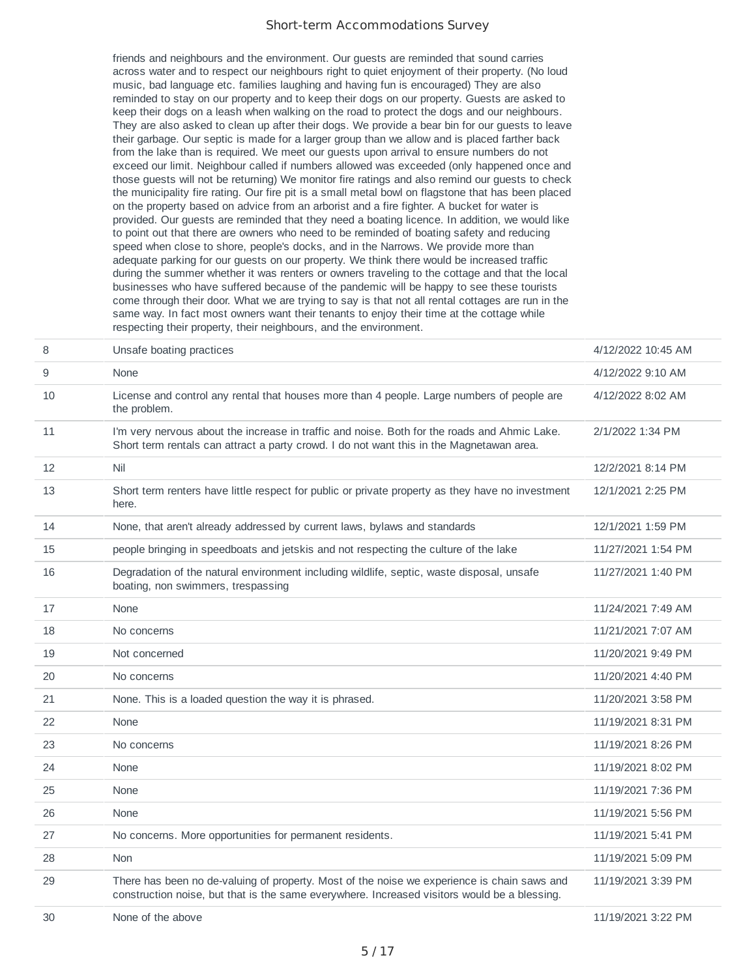friends and neighbours and the environment. Our guests are reminded that sound carries across water and to respect our neighbours right to quiet enjoyment of their property. (No loud music, bad language etc. families laughing and having fun is encouraged) They are also reminded to stay on our property and to keep their dogs on our property. Guests are asked to keep their dogs on a leash when walking on the road to protect the dogs and our neighbours. They are also asked to clean up after their dogs. We provide a bear bin for our guests to leave their garbage. Our septic is made for a larger group than we allow and is placed farther back from the lake than is required. We meet our guests upon arrival to ensure numbers do not exceed our limit. Neighbour called if numbers allowed was exceeded (only happened once and those guests will not be returning) We monitor fire ratings and also remind our guests to check the municipality fire rating. Our fire pit is a small metal bowl on flagstone that has been placed on the property based on advice from an arborist and a fire fighter. A bucket for water is provided. Our guests are reminded that they need a boating licence. In addition, we would like to point out that there are owners who need to be reminded of boating safety and reducing speed when close to shore, people's docks, and in the Narrows. We provide more than adequate parking for our guests on our property. We think there would be increased traffic during the summer whether it was renters or owners traveling to the cottage and that the local businesses who have suffered because of the pandemic will be happy to see these tourists come through their door. What we are trying to say is that not all rental cottages are run in the same way. In fact most owners want their tenants to enjoy their time at the cottage while respecting their property, their neighbours, and the environment.

| 8  | Unsafe boating practices                                                                                                                                                                    | 4/12/2022 10:45 AM |
|----|---------------------------------------------------------------------------------------------------------------------------------------------------------------------------------------------|--------------------|
| 9  | None                                                                                                                                                                                        | 4/12/2022 9:10 AM  |
| 10 | License and control any rental that houses more than 4 people. Large numbers of people are<br>the problem.                                                                                  | 4/12/2022 8:02 AM  |
| 11 | I'm very nervous about the increase in traffic and noise. Both for the roads and Ahmic Lake.<br>Short term rentals can attract a party crowd. I do not want this in the Magnetawan area.    | 2/1/2022 1:34 PM   |
| 12 | Nil                                                                                                                                                                                         | 12/2/2021 8:14 PM  |
| 13 | Short term renters have little respect for public or private property as they have no investment<br>here.                                                                                   | 12/1/2021 2:25 PM  |
| 14 | None, that aren't already addressed by current laws, bylaws and standards                                                                                                                   | 12/1/2021 1:59 PM  |
| 15 | people bringing in speedboats and jetskis and not respecting the culture of the lake                                                                                                        | 11/27/2021 1:54 PM |
| 16 | Degradation of the natural environment including wildlife, septic, waste disposal, unsafe<br>boating, non swimmers, trespassing                                                             | 11/27/2021 1:40 PM |
| 17 | None                                                                                                                                                                                        | 11/24/2021 7:49 AM |
| 18 | No concerns                                                                                                                                                                                 | 11/21/2021 7:07 AM |
| 19 | Not concerned                                                                                                                                                                               | 11/20/2021 9:49 PM |
| 20 | No concerns                                                                                                                                                                                 | 11/20/2021 4:40 PM |
| 21 | None. This is a loaded question the way it is phrased.                                                                                                                                      | 11/20/2021 3:58 PM |
| 22 | None                                                                                                                                                                                        | 11/19/2021 8:31 PM |
| 23 | No concerns                                                                                                                                                                                 | 11/19/2021 8:26 PM |
| 24 | None                                                                                                                                                                                        | 11/19/2021 8:02 PM |
| 25 | None                                                                                                                                                                                        | 11/19/2021 7:36 PM |
| 26 | None                                                                                                                                                                                        | 11/19/2021 5:56 PM |
| 27 | No concerns. More opportunities for permanent residents.                                                                                                                                    | 11/19/2021 5:41 PM |
| 28 | <b>Non</b>                                                                                                                                                                                  | 11/19/2021 5:09 PM |
| 29 | There has been no de-valuing of property. Most of the noise we experience is chain saws and<br>construction noise, but that is the same everywhere. Increased visitors would be a blessing. | 11/19/2021 3:39 PM |
| 30 | None of the above                                                                                                                                                                           | 11/19/2021 3:22 PM |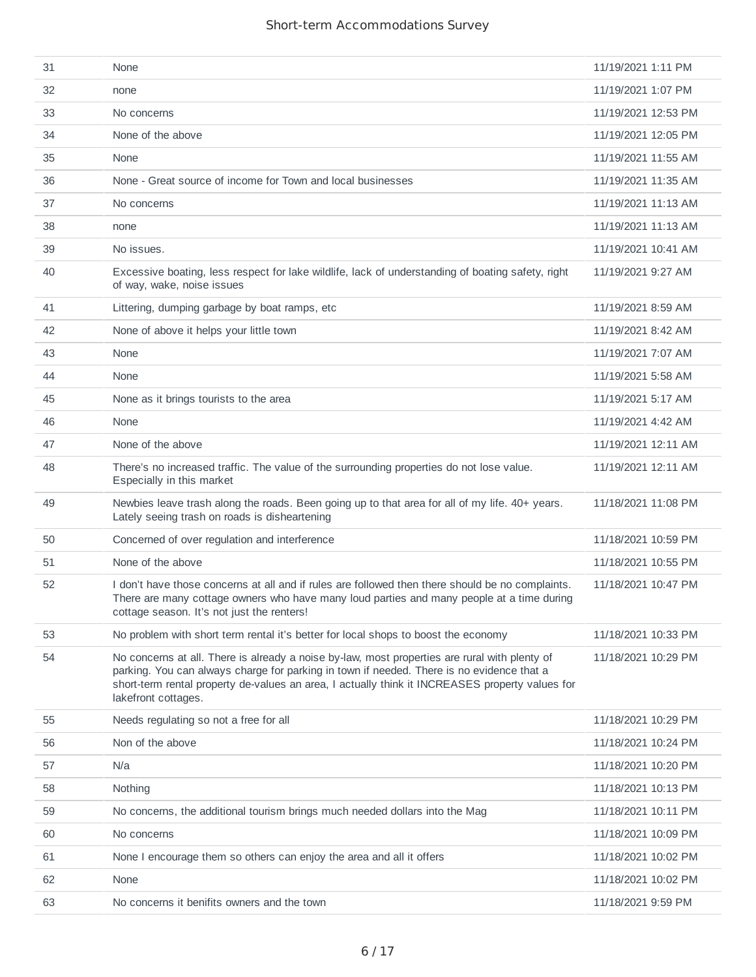| 31 | None                                                                                                                                                                                                                                                                                                                 | 11/19/2021 1:11 PM  |
|----|----------------------------------------------------------------------------------------------------------------------------------------------------------------------------------------------------------------------------------------------------------------------------------------------------------------------|---------------------|
| 32 | none                                                                                                                                                                                                                                                                                                                 | 11/19/2021 1:07 PM  |
| 33 | No concerns                                                                                                                                                                                                                                                                                                          | 11/19/2021 12:53 PM |
| 34 | None of the above                                                                                                                                                                                                                                                                                                    | 11/19/2021 12:05 PM |
| 35 | None                                                                                                                                                                                                                                                                                                                 | 11/19/2021 11:55 AM |
| 36 | None - Great source of income for Town and local businesses                                                                                                                                                                                                                                                          | 11/19/2021 11:35 AM |
| 37 | No concerns                                                                                                                                                                                                                                                                                                          | 11/19/2021 11:13 AM |
| 38 | none                                                                                                                                                                                                                                                                                                                 | 11/19/2021 11:13 AM |
| 39 | No issues.                                                                                                                                                                                                                                                                                                           | 11/19/2021 10:41 AM |
| 40 | Excessive boating, less respect for lake wildlife, lack of understanding of boating safety, right<br>of way, wake, noise issues                                                                                                                                                                                      | 11/19/2021 9:27 AM  |
| 41 | Littering, dumping garbage by boat ramps, etc                                                                                                                                                                                                                                                                        | 11/19/2021 8:59 AM  |
| 42 | None of above it helps your little town                                                                                                                                                                                                                                                                              | 11/19/2021 8:42 AM  |
| 43 | None                                                                                                                                                                                                                                                                                                                 | 11/19/2021 7:07 AM  |
| 44 | None                                                                                                                                                                                                                                                                                                                 | 11/19/2021 5:58 AM  |
| 45 | None as it brings tourists to the area                                                                                                                                                                                                                                                                               | 11/19/2021 5:17 AM  |
| 46 | None                                                                                                                                                                                                                                                                                                                 | 11/19/2021 4:42 AM  |
| 47 | None of the above                                                                                                                                                                                                                                                                                                    | 11/19/2021 12:11 AM |
| 48 | There's no increased traffic. The value of the surrounding properties do not lose value.<br>Especially in this market                                                                                                                                                                                                | 11/19/2021 12:11 AM |
| 49 | Newbies leave trash along the roads. Been going up to that area for all of my life. 40+ years.<br>Lately seeing trash on roads is disheartening                                                                                                                                                                      | 11/18/2021 11:08 PM |
| 50 | Concerned of over regulation and interference                                                                                                                                                                                                                                                                        | 11/18/2021 10:59 PM |
| 51 | None of the above                                                                                                                                                                                                                                                                                                    | 11/18/2021 10:55 PM |
| 52 | I don't have those concerns at all and if rules are followed then there should be no complaints.<br>There are many cottage owners who have many loud parties and many people at a time during<br>cottage season. It's not just the renters!                                                                          | 11/18/2021 10:47 PM |
| 53 | No problem with short term rental it's better for local shops to boost the economy                                                                                                                                                                                                                                   | 11/18/2021 10:33 PM |
| 54 | No concerns at all. There is already a noise by-law, most properties are rural with plenty of<br>parking. You can always charge for parking in town if needed. There is no evidence that a<br>short-term rental property de-values an area, I actually think it INCREASES property values for<br>lakefront cottages. | 11/18/2021 10:29 PM |
| 55 | Needs regulating so not a free for all                                                                                                                                                                                                                                                                               | 11/18/2021 10:29 PM |
| 56 | Non of the above                                                                                                                                                                                                                                                                                                     | 11/18/2021 10:24 PM |
| 57 | N/a                                                                                                                                                                                                                                                                                                                  | 11/18/2021 10:20 PM |
| 58 | Nothing                                                                                                                                                                                                                                                                                                              | 11/18/2021 10:13 PM |
| 59 | No concerns, the additional tourism brings much needed dollars into the Mag                                                                                                                                                                                                                                          | 11/18/2021 10:11 PM |
| 60 | No concerns                                                                                                                                                                                                                                                                                                          | 11/18/2021 10:09 PM |
| 61 | None I encourage them so others can enjoy the area and all it offers                                                                                                                                                                                                                                                 | 11/18/2021 10:02 PM |
| 62 | None                                                                                                                                                                                                                                                                                                                 | 11/18/2021 10:02 PM |
| 63 | No concerns it benifits owners and the town                                                                                                                                                                                                                                                                          | 11/18/2021 9:59 PM  |
|    |                                                                                                                                                                                                                                                                                                                      |                     |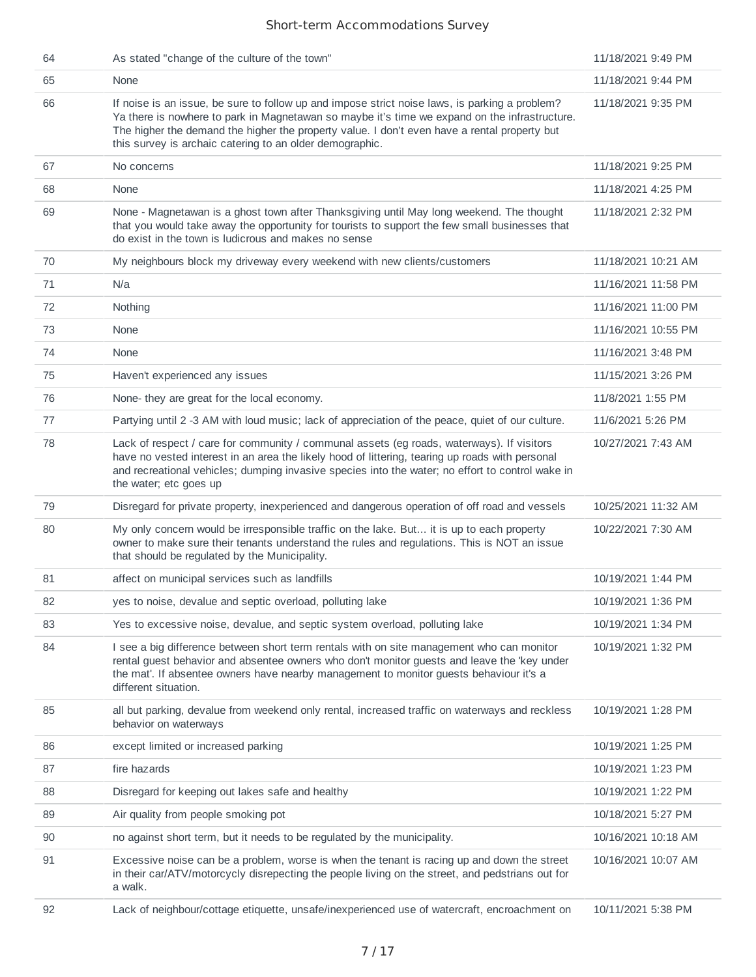| 64 | As stated "change of the culture of the town"                                                                                                                                                                                                                                                                                                               | 11/18/2021 9:49 PM  |
|----|-------------------------------------------------------------------------------------------------------------------------------------------------------------------------------------------------------------------------------------------------------------------------------------------------------------------------------------------------------------|---------------------|
| 65 | None                                                                                                                                                                                                                                                                                                                                                        | 11/18/2021 9:44 PM  |
| 66 | If noise is an issue, be sure to follow up and impose strict noise laws, is parking a problem?<br>Ya there is nowhere to park in Magnetawan so maybe it's time we expand on the infrastructure.<br>The higher the demand the higher the property value. I don't even have a rental property but<br>this survey is archaic catering to an older demographic. | 11/18/2021 9:35 PM  |
| 67 | No concerns                                                                                                                                                                                                                                                                                                                                                 | 11/18/2021 9:25 PM  |
| 68 | None                                                                                                                                                                                                                                                                                                                                                        | 11/18/2021 4:25 PM  |
| 69 | None - Magnetawan is a ghost town after Thanksgiving until May long weekend. The thought<br>that you would take away the opportunity for tourists to support the few small businesses that<br>do exist in the town is ludicrous and makes no sense                                                                                                          | 11/18/2021 2:32 PM  |
| 70 | My neighbours block my driveway every weekend with new clients/customers                                                                                                                                                                                                                                                                                    | 11/18/2021 10:21 AM |
| 71 | N/a                                                                                                                                                                                                                                                                                                                                                         | 11/16/2021 11:58 PM |
| 72 | Nothing                                                                                                                                                                                                                                                                                                                                                     | 11/16/2021 11:00 PM |
| 73 | None                                                                                                                                                                                                                                                                                                                                                        | 11/16/2021 10:55 PM |
| 74 | None                                                                                                                                                                                                                                                                                                                                                        | 11/16/2021 3:48 PM  |
| 75 | Haven't experienced any issues                                                                                                                                                                                                                                                                                                                              | 11/15/2021 3:26 PM  |
| 76 | None- they are great for the local economy.                                                                                                                                                                                                                                                                                                                 | 11/8/2021 1:55 PM   |
| 77 | Partying until 2 -3 AM with loud music; lack of appreciation of the peace, quiet of our culture.                                                                                                                                                                                                                                                            | 11/6/2021 5:26 PM   |
| 78 | Lack of respect / care for community / communal assets (eg roads, waterways). If visitors<br>have no vested interest in an area the likely hood of littering, tearing up roads with personal<br>and recreational vehicles; dumping invasive species into the water; no effort to control wake in<br>the water; etc goes up                                  | 10/27/2021 7:43 AM  |
| 79 | Disregard for private property, inexperienced and dangerous operation of off road and vessels                                                                                                                                                                                                                                                               | 10/25/2021 11:32 AM |
| 80 | My only concern would be irresponsible traffic on the lake. But it is up to each property<br>owner to make sure their tenants understand the rules and regulations. This is NOT an issue<br>that should be regulated by the Municipality.                                                                                                                   | 10/22/2021 7:30 AM  |
| 81 | affect on municipal services such as landfills                                                                                                                                                                                                                                                                                                              | 10/19/2021 1:44 PM  |
| 82 | yes to noise, devalue and septic overload, polluting lake                                                                                                                                                                                                                                                                                                   | 10/19/2021 1:36 PM  |
| 83 | Yes to excessive noise, devalue, and septic system overload, polluting lake                                                                                                                                                                                                                                                                                 | 10/19/2021 1:34 PM  |
| 84 | I see a big difference between short term rentals with on site management who can monitor<br>rental guest behavior and absentee owners who don't monitor guests and leave the 'key under<br>the mat'. If absentee owners have nearby management to monitor guests behaviour it's a<br>different situation.                                                  | 10/19/2021 1:32 PM  |
| 85 | all but parking, devalue from weekend only rental, increased traffic on waterways and reckless<br>behavior on waterways                                                                                                                                                                                                                                     | 10/19/2021 1:28 PM  |
| 86 | except limited or increased parking                                                                                                                                                                                                                                                                                                                         | 10/19/2021 1:25 PM  |
| 87 | fire hazards                                                                                                                                                                                                                                                                                                                                                | 10/19/2021 1:23 PM  |
| 88 | Disregard for keeping out lakes safe and healthy                                                                                                                                                                                                                                                                                                            | 10/19/2021 1:22 PM  |
| 89 | Air quality from people smoking pot                                                                                                                                                                                                                                                                                                                         | 10/18/2021 5:27 PM  |
| 90 | no against short term, but it needs to be regulated by the municipality.                                                                                                                                                                                                                                                                                    | 10/16/2021 10:18 AM |
| 91 | Excessive noise can be a problem, worse is when the tenant is racing up and down the street<br>in their car/ATV/motorcycly disrepecting the people living on the street, and pedstrians out for<br>a walk.                                                                                                                                                  | 10/16/2021 10:07 AM |
| 92 | Lack of neighbour/cottage etiquette, unsafe/inexperienced use of watercraft, encroachment on                                                                                                                                                                                                                                                                | 10/11/2021 5:38 PM  |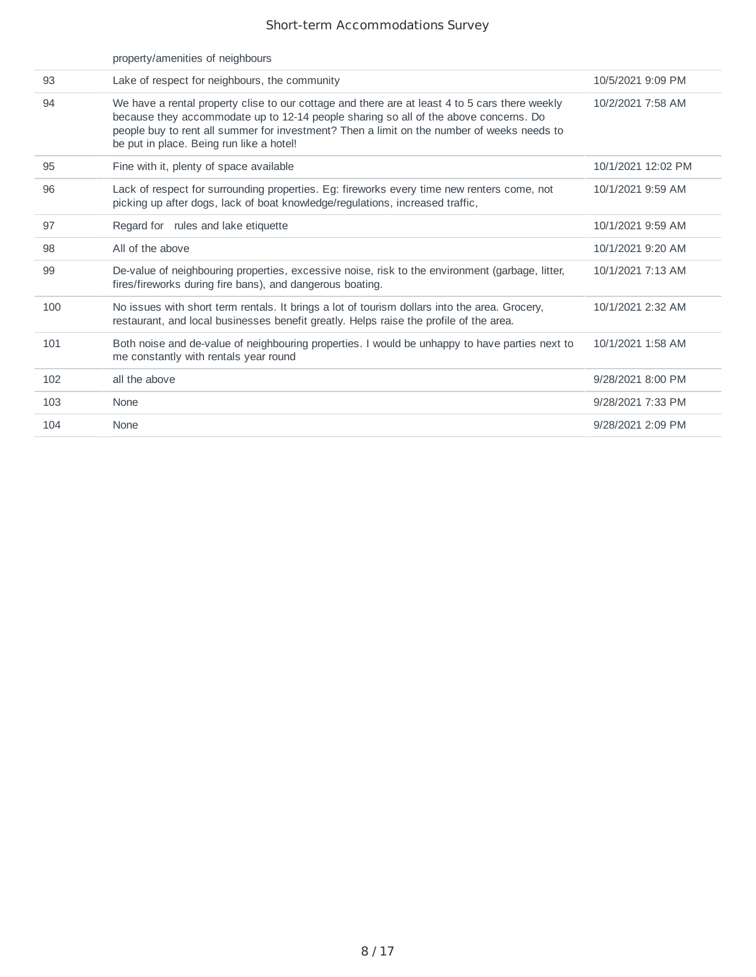|     | property/amenities of neighbours                                                                                                                                                                                                                                                                                                 |                    |
|-----|----------------------------------------------------------------------------------------------------------------------------------------------------------------------------------------------------------------------------------------------------------------------------------------------------------------------------------|--------------------|
| 93  | Lake of respect for neighbours, the community                                                                                                                                                                                                                                                                                    | 10/5/2021 9:09 PM  |
| 94  | We have a rental property clise to our cottage and there are at least 4 to 5 cars there weekly<br>because they accommodate up to 12-14 people sharing so all of the above concerns. Do<br>people buy to rent all summer for investment? Then a limit on the number of weeks needs to<br>be put in place. Being run like a hotel! | 10/2/2021 7:58 AM  |
| 95  | Fine with it, plenty of space available                                                                                                                                                                                                                                                                                          | 10/1/2021 12:02 PM |
| 96  | Lack of respect for surrounding properties. Eg: fireworks every time new renters come, not<br>picking up after dogs, lack of boat knowledge/regulations, increased traffic,                                                                                                                                                      | 10/1/2021 9:59 AM  |
| 97  | Regard for rules and lake etiquette                                                                                                                                                                                                                                                                                              | 10/1/2021 9:59 AM  |
| 98  | All of the above                                                                                                                                                                                                                                                                                                                 | 10/1/2021 9:20 AM  |
| 99  | De-value of neighbouring properties, excessive noise, risk to the environment (garbage, litter,<br>fires/fireworks during fire bans), and dangerous boating.                                                                                                                                                                     | 10/1/2021 7:13 AM  |
| 100 | No issues with short term rentals. It brings a lot of tourism dollars into the area. Grocery,<br>restaurant, and local businesses benefit greatly. Helps raise the profile of the area.                                                                                                                                          | 10/1/2021 2:32 AM  |
| 101 | Both noise and de-value of neighbouring properties. I would be unhappy to have parties next to<br>me constantly with rentals year round                                                                                                                                                                                          | 10/1/2021 1:58 AM  |
| 102 | all the above                                                                                                                                                                                                                                                                                                                    | 9/28/2021 8:00 PM  |
| 103 | None                                                                                                                                                                                                                                                                                                                             | 9/28/2021 7:33 PM  |
| 104 | None                                                                                                                                                                                                                                                                                                                             | 9/28/2021 2:09 PM  |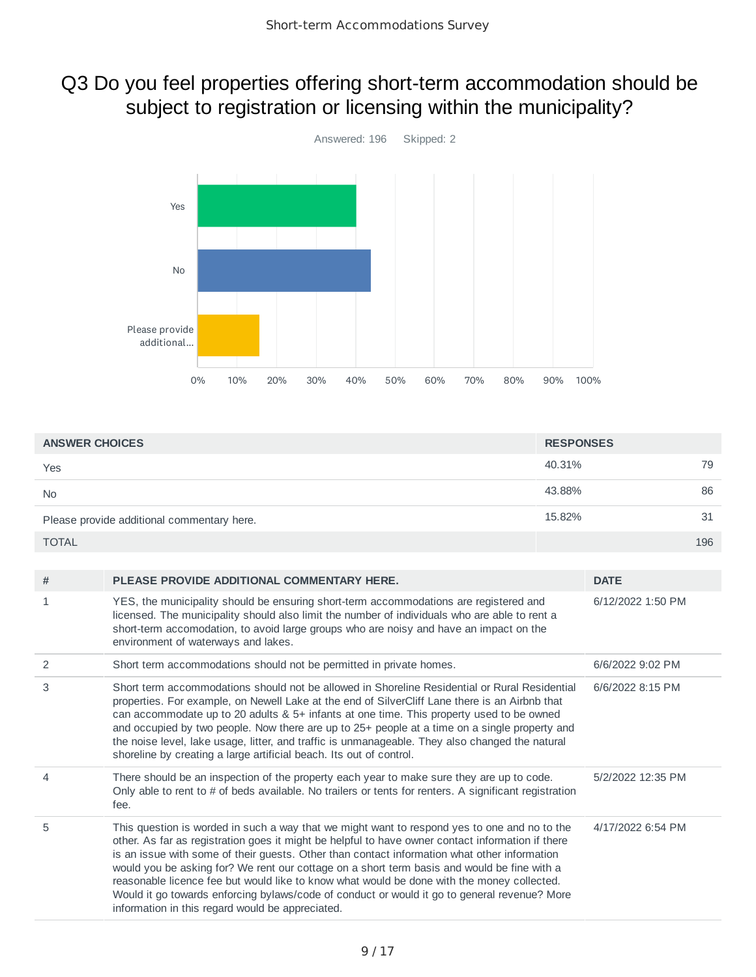# Q3 Do you feel properties offering short-term accommodation should be subject to registration or licensing within the municipality?



| <b>ANSWER CHOICES</b>                      | <b>RESPONSES</b> |     |
|--------------------------------------------|------------------|-----|
| Yes                                        | 40.31%           | 79  |
| <b>No</b>                                  | 43.88%           | 86  |
| Please provide additional commentary here. | 15.82%           | 31  |
| <b>TOTAL</b>                               |                  | 196 |

| #              | PLEASE PROVIDE ADDITIONAL COMMENTARY HERE.                                                                                                                                                                                                                                                                                                                                                                                                                                                                                                                                                                                                         | <b>DATE</b>       |
|----------------|----------------------------------------------------------------------------------------------------------------------------------------------------------------------------------------------------------------------------------------------------------------------------------------------------------------------------------------------------------------------------------------------------------------------------------------------------------------------------------------------------------------------------------------------------------------------------------------------------------------------------------------------------|-------------------|
| $\mathbf{1}$   | YES, the municipality should be ensuring short-term accommodations are registered and<br>licensed. The municipality should also limit the number of individuals who are able to rent a<br>short-term accomodation, to avoid large groups who are noisy and have an impact on the<br>environment of waterways and lakes.                                                                                                                                                                                                                                                                                                                            | 6/12/2022 1:50 PM |
| 2              | Short term accommodations should not be permitted in private homes.                                                                                                                                                                                                                                                                                                                                                                                                                                                                                                                                                                                | 6/6/2022 9:02 PM  |
| 3              | Short term accommodations should not be allowed in Shoreline Residential or Rural Residential<br>properties. For example, on Newell Lake at the end of SilverCliff Lane there is an Airbnb that<br>can accommodate up to 20 adults & 5+ infants at one time. This property used to be owned<br>and occupied by two people. Now there are up to 25+ people at a time on a single property and<br>the noise level, lake usage, litter, and traffic is unmanageable. They also changed the natural<br>shoreline by creating a large artificial beach. Its out of control.                                                                             | 6/6/2022 8:15 PM  |
| $\overline{4}$ | There should be an inspection of the property each year to make sure they are up to code.<br>Only able to rent to # of beds available. No trailers or tents for renters. A significant registration<br>fee.                                                                                                                                                                                                                                                                                                                                                                                                                                        | 5/2/2022 12:35 PM |
| 5              | This question is worded in such a way that we might want to respond yes to one and no to the<br>other. As far as registration goes it might be helpful to have owner contact information if there<br>is an issue with some of their guests. Other than contact information what other information<br>would you be asking for? We rent our cottage on a short term basis and would be fine with a<br>reasonable licence fee but would like to know what would be done with the money collected.<br>Would it go towards enforcing bylaws/code of conduct or would it go to general revenue? More<br>information in this regard would be appreciated. | 4/17/2022 6:54 PM |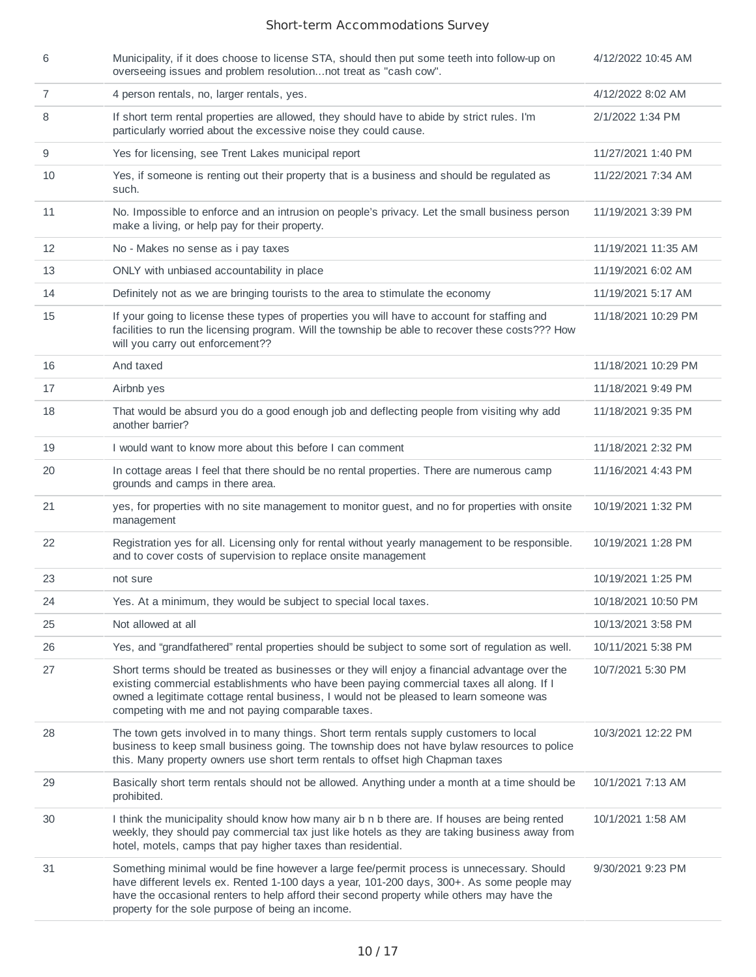| 6              | Municipality, if it does choose to license STA, should then put some teeth into follow-up on<br>overseeing issues and problem resolutionnot treat as "cash cow".                                                                                                                                                                           | 4/12/2022 10:45 AM  |
|----------------|--------------------------------------------------------------------------------------------------------------------------------------------------------------------------------------------------------------------------------------------------------------------------------------------------------------------------------------------|---------------------|
| $\overline{7}$ | 4 person rentals, no, larger rentals, yes.                                                                                                                                                                                                                                                                                                 | 4/12/2022 8:02 AM   |
| 8              | If short term rental properties are allowed, they should have to abide by strict rules. I'm<br>particularly worried about the excessive noise they could cause.                                                                                                                                                                            | 2/1/2022 1:34 PM    |
| 9              | Yes for licensing, see Trent Lakes municipal report                                                                                                                                                                                                                                                                                        | 11/27/2021 1:40 PM  |
| 10             | Yes, if someone is renting out their property that is a business and should be regulated as<br>such.                                                                                                                                                                                                                                       | 11/22/2021 7:34 AM  |
| 11             | No. Impossible to enforce and an intrusion on people's privacy. Let the small business person<br>make a living, or help pay for their property.                                                                                                                                                                                            | 11/19/2021 3:39 PM  |
| 12             | No - Makes no sense as i pay taxes                                                                                                                                                                                                                                                                                                         | 11/19/2021 11:35 AM |
| 13             | ONLY with unbiased accountability in place                                                                                                                                                                                                                                                                                                 | 11/19/2021 6:02 AM  |
| 14             | Definitely not as we are bringing tourists to the area to stimulate the economy                                                                                                                                                                                                                                                            | 11/19/2021 5:17 AM  |
| 15             | If your going to license these types of properties you will have to account for staffing and<br>facilities to run the licensing program. Will the township be able to recover these costs??? How<br>will you carry out enforcement??                                                                                                       | 11/18/2021 10:29 PM |
| 16             | And taxed                                                                                                                                                                                                                                                                                                                                  | 11/18/2021 10:29 PM |
| 17             | Airbnb yes                                                                                                                                                                                                                                                                                                                                 | 11/18/2021 9:49 PM  |
| 18             | That would be absurd you do a good enough job and deflecting people from visiting why add<br>another barrier?                                                                                                                                                                                                                              | 11/18/2021 9:35 PM  |
| 19             | I would want to know more about this before I can comment                                                                                                                                                                                                                                                                                  | 11/18/2021 2:32 PM  |
| 20             | In cottage areas I feel that there should be no rental properties. There are numerous camp<br>grounds and camps in there area.                                                                                                                                                                                                             | 11/16/2021 4:43 PM  |
| 21             | yes, for properties with no site management to monitor guest, and no for properties with onsite<br>management                                                                                                                                                                                                                              | 10/19/2021 1:32 PM  |
| 22             | Registration yes for all. Licensing only for rental without yearly management to be responsible.<br>and to cover costs of supervision to replace onsite management                                                                                                                                                                         | 10/19/2021 1:28 PM  |
| 23             | not sure                                                                                                                                                                                                                                                                                                                                   | 10/19/2021 1:25 PM  |
| 24             | Yes. At a minimum, they would be subject to special local taxes.                                                                                                                                                                                                                                                                           | 10/18/2021 10:50 PM |
| 25             | Not allowed at all                                                                                                                                                                                                                                                                                                                         | 10/13/2021 3:58 PM  |
| 26             | Yes, and "grandfathered" rental properties should be subject to some sort of regulation as well.                                                                                                                                                                                                                                           | 10/11/2021 5:38 PM  |
| 27             | Short terms should be treated as businesses or they will enjoy a financial advantage over the<br>existing commercial establishments who have been paying commercial taxes all along. If I<br>owned a legitimate cottage rental business, I would not be pleased to learn someone was<br>competing with me and not paying comparable taxes. | 10/7/2021 5:30 PM   |
| 28             | The town gets involved in to many things. Short term rentals supply customers to local<br>business to keep small business going. The township does not have bylaw resources to police<br>this. Many property owners use short term rentals to offset high Chapman taxes                                                                    | 10/3/2021 12:22 PM  |
| 29             | Basically short term rentals should not be allowed. Anything under a month at a time should be<br>prohibited.                                                                                                                                                                                                                              | 10/1/2021 7:13 AM   |
| 30             | I think the municipality should know how many air b n b there are. If houses are being rented<br>weekly, they should pay commercial tax just like hotels as they are taking business away from<br>hotel, motels, camps that pay higher taxes than residential.                                                                             | 10/1/2021 1:58 AM   |
| 31             | Something minimal would be fine however a large fee/permit process is unnecessary. Should<br>have different levels ex. Rented 1-100 days a year, 101-200 days, 300+. As some people may<br>have the occasional renters to help afford their second property while others may have the<br>property for the sole purpose of being an income. | 9/30/2021 9:23 PM   |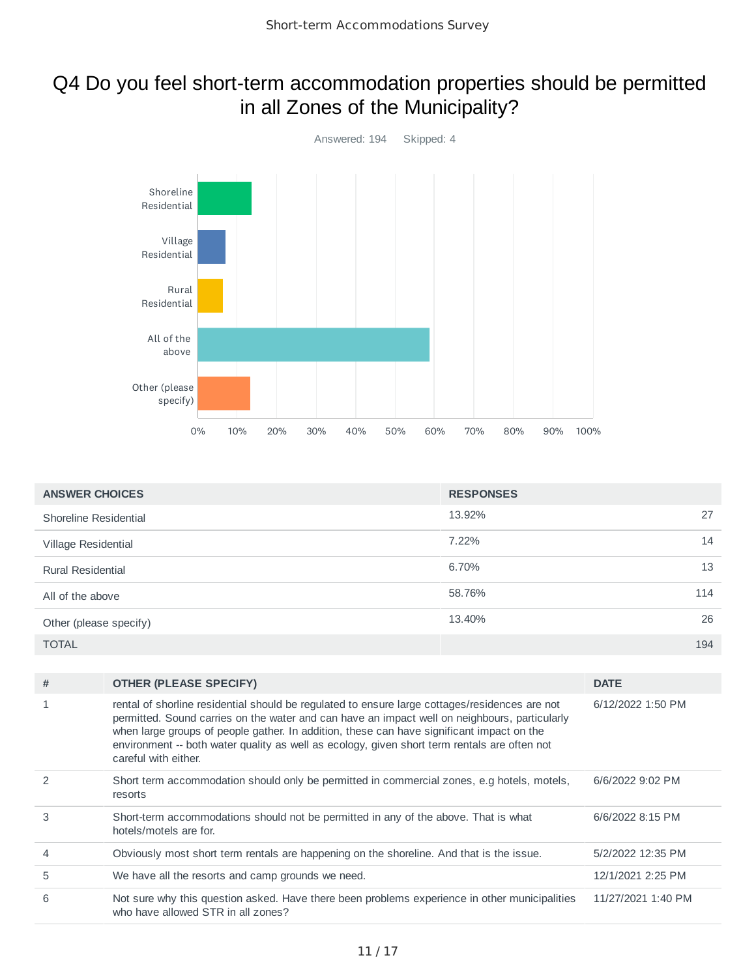# Q4 Do you feel short-term accommodation properties should be permitted in all Zones of the Municipality?



| <b>ANSWER CHOICES</b>    | <b>RESPONSES</b> |  |
|--------------------------|------------------|--|
| Shoreline Residential    | 13.92%<br>27     |  |
| Village Residential      | 7.22%<br>14      |  |
| <b>Rural Residential</b> | 6.70%<br>13      |  |
| All of the above         | 58.76%<br>114    |  |
| Other (please specify)   | 26<br>13.40%     |  |
| <b>TOTAL</b>             | 194              |  |

| # | <b>OTHER (PLEASE SPECIFY)</b>                                                                                                                                                                                                                                                                                                                                                                                        | <b>DATE</b>        |
|---|----------------------------------------------------------------------------------------------------------------------------------------------------------------------------------------------------------------------------------------------------------------------------------------------------------------------------------------------------------------------------------------------------------------------|--------------------|
|   | rental of shorline residential should be regulated to ensure large cottages/residences are not<br>permitted. Sound carries on the water and can have an impact well on neighbours, particularly<br>when large groups of people gather. In addition, these can have significant impact on the<br>environment -- both water quality as well as ecology, given short term rentals are often not<br>careful with either. | 6/12/2022 1:50 PM  |
|   | Short term accommodation should only be permitted in commercial zones, e.g hotels, motels,<br>resorts                                                                                                                                                                                                                                                                                                                | 6/6/2022 9:02 PM   |
| 3 | Short-term accommodations should not be permitted in any of the above. That is what<br>hotels/motels are for.                                                                                                                                                                                                                                                                                                        | 6/6/2022 8:15 PM   |
| 4 | Obviously most short term rentals are happening on the shoreline. And that is the issue.                                                                                                                                                                                                                                                                                                                             | 5/2/2022 12:35 PM  |
| 5 | We have all the resorts and camp grounds we need.                                                                                                                                                                                                                                                                                                                                                                    | 12/1/2021 2:25 PM  |
| 6 | Not sure why this question asked. Have there been problems experience in other municipalities<br>who have allowed STR in all zones?                                                                                                                                                                                                                                                                                  | 11/27/2021 1:40 PM |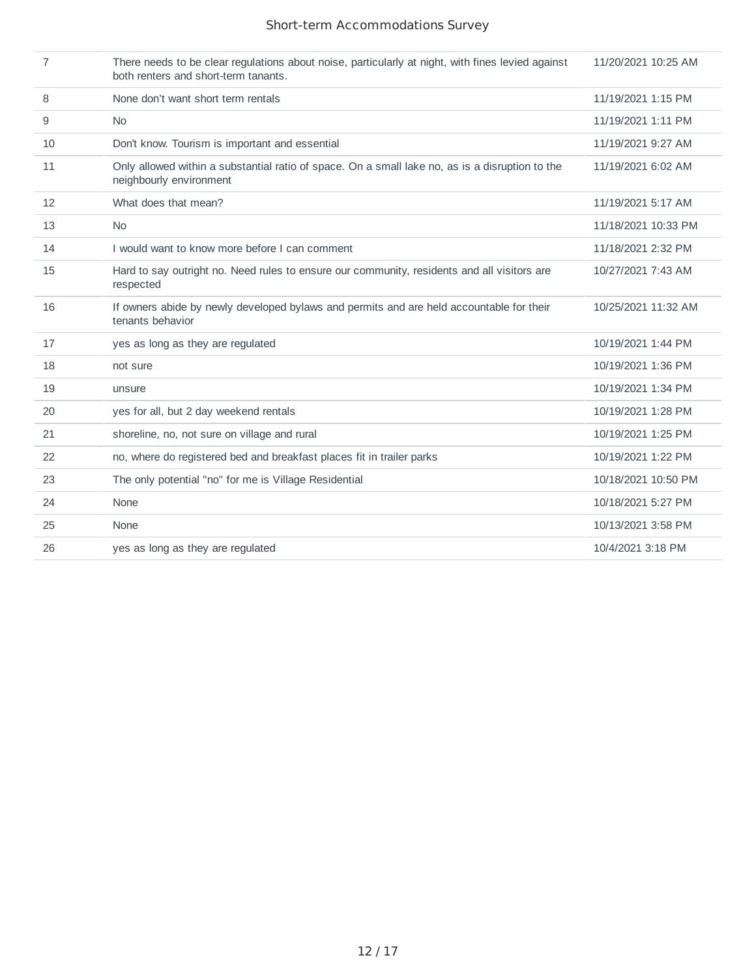| 7  | There needs to be clear regulations about noise, particularly at night, with fines levied against<br>both renters and short-term tanants. | 11/20/2021 10:25 AM |
|----|-------------------------------------------------------------------------------------------------------------------------------------------|---------------------|
| 8  | None don't want short term rentals                                                                                                        | 11/19/2021 1:15 PM  |
| 9  | N <sub>0</sub>                                                                                                                            | 11/19/2021 1:11 PM  |
| 10 | Don't know. Tourism is important and essential                                                                                            | 11/19/2021 9:27 AM  |
| 11 | Only allowed within a substantial ratio of space. On a small lake no, as is a disruption to the<br>neighbourly environment                | 11/19/2021 6:02 AM  |
| 12 | What does that mean?                                                                                                                      | 11/19/2021 5:17 AM  |
| 13 | <b>No</b>                                                                                                                                 | 11/18/2021 10:33 PM |
| 14 | I would want to know more before I can comment                                                                                            | 11/18/2021 2:32 PM  |
| 15 | Hard to say outright no. Need rules to ensure our community, residents and all visitors are<br>respected                                  | 10/27/2021 7:43 AM  |
| 16 | If owners abide by newly developed bylaws and permits and are held accountable for their<br>tenants behavior                              | 10/25/2021 11:32 AM |
| 17 | yes as long as they are regulated                                                                                                         | 10/19/2021 1:44 PM  |
| 18 | not sure                                                                                                                                  | 10/19/2021 1:36 PM  |
| 19 | unsure                                                                                                                                    | 10/19/2021 1:34 PM  |
| 20 | yes for all, but 2 day weekend rentals                                                                                                    | 10/19/2021 1:28 PM  |
| 21 | shoreline, no, not sure on village and rural                                                                                              | 10/19/2021 1:25 PM  |
| 22 | no, where do registered bed and breakfast places fit in trailer parks                                                                     | 10/19/2021 1:22 PM  |
| 23 | The only potential "no" for me is Village Residential                                                                                     | 10/18/2021 10:50 PM |
| 24 | None                                                                                                                                      | 10/18/2021 5:27 PM  |
| 25 | None                                                                                                                                      | 10/13/2021 3:58 PM  |
| 26 | yes as long as they are regulated                                                                                                         | 10/4/2021 3:18 PM   |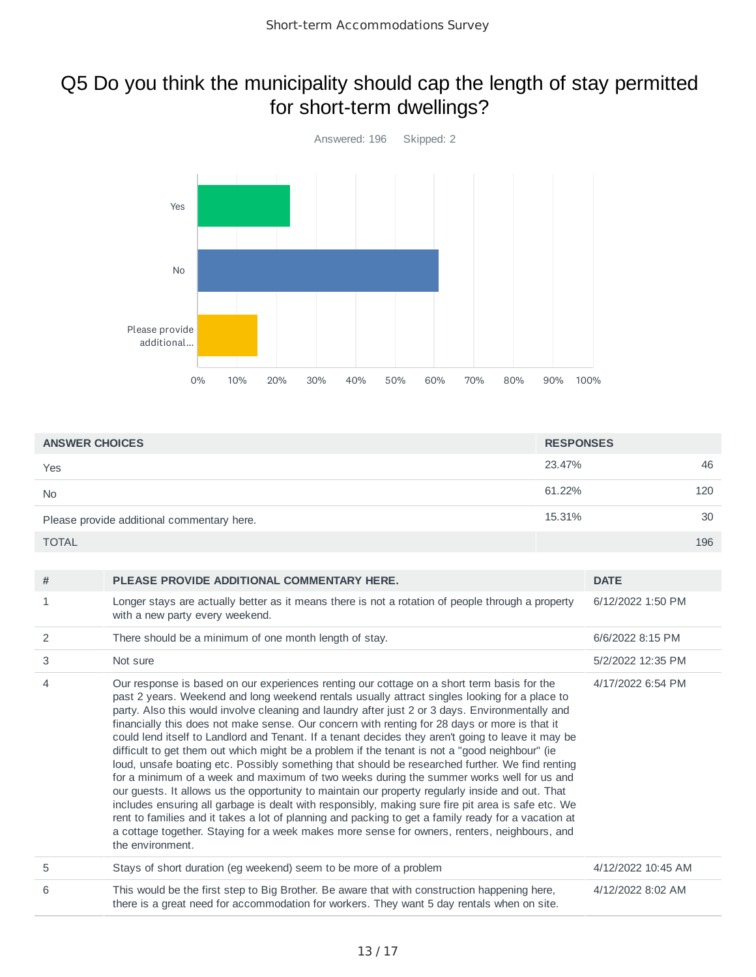### Q5 Do you think the municipality should cap the length of stay permitted for short-term dwellings?



| <b>ANSWER CHOICES</b>                      | <b>RESPONSES</b> |     |
|--------------------------------------------|------------------|-----|
| Yes                                        | 23.47%           | 46  |
| <b>No</b>                                  | 61.22%           | 120 |
| Please provide additional commentary here. | 15.31%           | 30  |
| <b>TOTAL</b>                               |                  | 196 |

| #              | PLEASE PROVIDE ADDITIONAL COMMENTARY HERE.                                                                                                                                                                                                                                                                                                                                                                                                                                                                                                                                                                                                                                                                                                                                                                                                                                                                                                                                                                                                                                                                                                                                                                                                  | <b>DATE</b>        |
|----------------|---------------------------------------------------------------------------------------------------------------------------------------------------------------------------------------------------------------------------------------------------------------------------------------------------------------------------------------------------------------------------------------------------------------------------------------------------------------------------------------------------------------------------------------------------------------------------------------------------------------------------------------------------------------------------------------------------------------------------------------------------------------------------------------------------------------------------------------------------------------------------------------------------------------------------------------------------------------------------------------------------------------------------------------------------------------------------------------------------------------------------------------------------------------------------------------------------------------------------------------------|--------------------|
| 1              | Longer stays are actually better as it means there is not a rotation of people through a property<br>with a new party every weekend.                                                                                                                                                                                                                                                                                                                                                                                                                                                                                                                                                                                                                                                                                                                                                                                                                                                                                                                                                                                                                                                                                                        | 6/12/2022 1:50 PM  |
| 2              | There should be a minimum of one month length of stay.                                                                                                                                                                                                                                                                                                                                                                                                                                                                                                                                                                                                                                                                                                                                                                                                                                                                                                                                                                                                                                                                                                                                                                                      | 6/6/2022 8:15 PM   |
| 3              | Not sure                                                                                                                                                                                                                                                                                                                                                                                                                                                                                                                                                                                                                                                                                                                                                                                                                                                                                                                                                                                                                                                                                                                                                                                                                                    | 5/2/2022 12:35 PM  |
| $\overline{4}$ | Our response is based on our experiences renting our cottage on a short term basis for the<br>past 2 years. Weekend and long weekend rentals usually attract singles looking for a place to<br>party. Also this would involve cleaning and laundry after just 2 or 3 days. Environmentally and<br>financially this does not make sense. Our concern with renting for 28 days or more is that it<br>could lend itself to Landlord and Tenant. If a tenant decides they aren't going to leave it may be<br>difficult to get them out which might be a problem if the tenant is not a "good neighbour" (ie<br>loud, unsafe boating etc. Possibly something that should be researched further. We find renting<br>for a minimum of a week and maximum of two weeks during the summer works well for us and<br>our guests. It allows us the opportunity to maintain our property regularly inside and out. That<br>includes ensuring all garbage is dealt with responsibly, making sure fire pit area is safe etc. We<br>rent to families and it takes a lot of planning and packing to get a family ready for a vacation at<br>a cottage together. Staying for a week makes more sense for owners, renters, neighbours, and<br>the environment. | 4/17/2022 6:54 PM  |
| 5              | Stays of short duration (eg weekend) seem to be more of a problem                                                                                                                                                                                                                                                                                                                                                                                                                                                                                                                                                                                                                                                                                                                                                                                                                                                                                                                                                                                                                                                                                                                                                                           | 4/12/2022 10:45 AM |
| 6              | This would be the first step to Big Brother. Be aware that with construction happening here,<br>there is a great need for accommodation for workers. They want 5 day rentals when on site.                                                                                                                                                                                                                                                                                                                                                                                                                                                                                                                                                                                                                                                                                                                                                                                                                                                                                                                                                                                                                                                  | 4/12/2022 8:02 AM  |